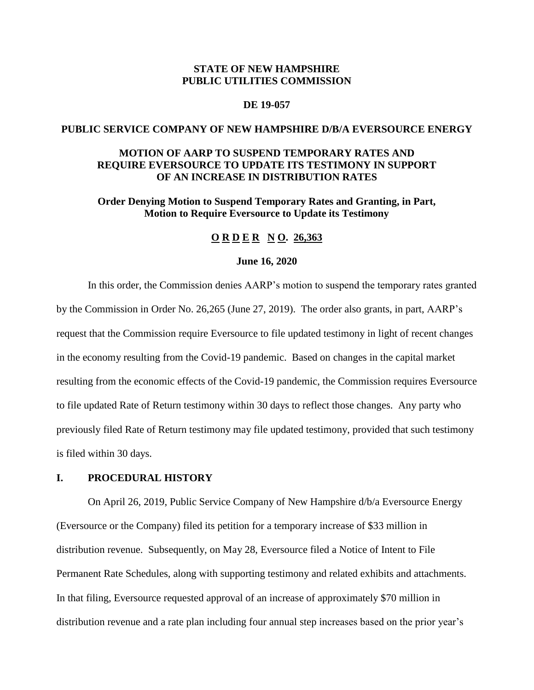# **STATE OF NEW HAMPSHIRE PUBLIC UTILITIES COMMISSION**

# **DE 19-057**

## **PUBLIC SERVICE COMPANY OF NEW HAMPSHIRE D/B/A EVERSOURCE ENERGY**

# **MOTION OF AARP TO SUSPEND TEMPORARY RATES AND REQUIRE EVERSOURCE TO UPDATE ITS TESTIMONY IN SUPPORT OF AN INCREASE IN DISTRIBUTION RATES**

**Order Denying Motion to Suspend Temporary Rates and Granting, in Part, Motion to Require Eversource to Update its Testimony**

### **O R D E R N O. 26,363**

#### **June 16, 2020**

In this order, the Commission denies AARP's motion to suspend the temporary rates granted by the Commission in Order No. 26,265 (June 27, 2019). The order also grants, in part, AARP's request that the Commission require Eversource to file updated testimony in light of recent changes in the economy resulting from the Covid-19 pandemic.Based on changes in the capital market resulting from the economic effects of the Covid-19 pandemic, the Commission requires Eversource to file updated Rate of Return testimony within 30 days to reflect those changes. Any party who previously filed Rate of Return testimony may file updated testimony, provided that such testimony is filed within 30 days.

# **I. PROCEDURAL HISTORY**

On April 26, 2019, Public Service Company of New Hampshire d/b/a Eversource Energy (Eversource or the Company) filed its petition for a temporary increase of \$33 million in distribution revenue. Subsequently, on May 28, Eversource filed a Notice of Intent to File Permanent Rate Schedules, along with supporting testimony and related exhibits and attachments. In that filing, Eversource requested approval of an increase of approximately \$70 million in distribution revenue and a rate plan including four annual step increases based on the prior year's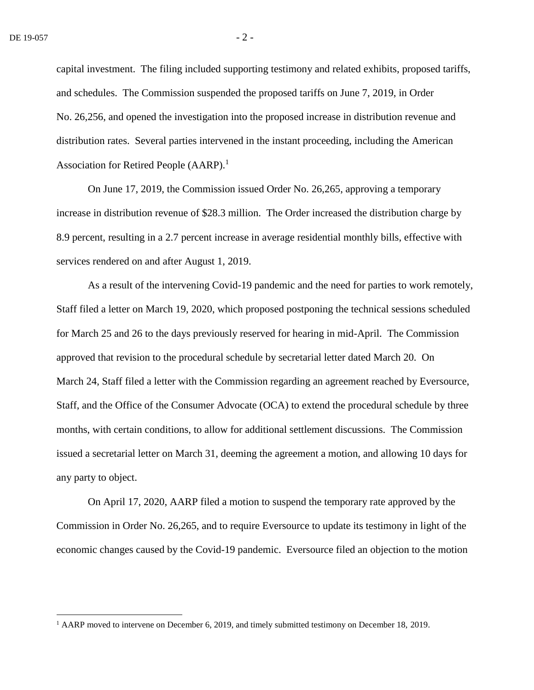$\overline{a}$ 

capital investment. The filing included supporting testimony and related exhibits, proposed tariffs, and schedules. The Commission suspended the proposed tariffs on June 7, 2019, in Order No. 26,256, and opened the investigation into the proposed increase in distribution revenue and distribution rates. Several parties intervened in the instant proceeding, including the American Association for Retired People  $(AARP).<sup>1</sup>$ 

On June 17, 2019, the Commission issued Order No. 26,265, approving a temporary increase in distribution revenue of \$28.3 million. The Order increased the distribution charge by 8.9 percent, resulting in a 2.7 percent increase in average residential monthly bills, effective with services rendered on and after August 1, 2019.

As a result of the intervening Covid-19 pandemic and the need for parties to work remotely, Staff filed a letter on March 19, 2020, which proposed postponing the technical sessions scheduled for March 25 and 26 to the days previously reserved for hearing in mid-April. The Commission approved that revision to the procedural schedule by secretarial letter dated March 20. On March 24, Staff filed a letter with the Commission regarding an agreement reached by Eversource, Staff, and the Office of the Consumer Advocate (OCA) to extend the procedural schedule by three months, with certain conditions, to allow for additional settlement discussions. The Commission issued a secretarial letter on March 31, deeming the agreement a motion, and allowing 10 days for any party to object.

On April 17, 2020, AARP filed a motion to suspend the temporary rate approved by the Commission in Order No. 26,265, and to require Eversource to update its testimony in light of the economic changes caused by the Covid-19 pandemic. Eversource filed an objection to the motion

 $<sup>1</sup>$  AARP moved to intervene on December 6, 2019, and timely submitted testimony on December 18, 2019.</sup>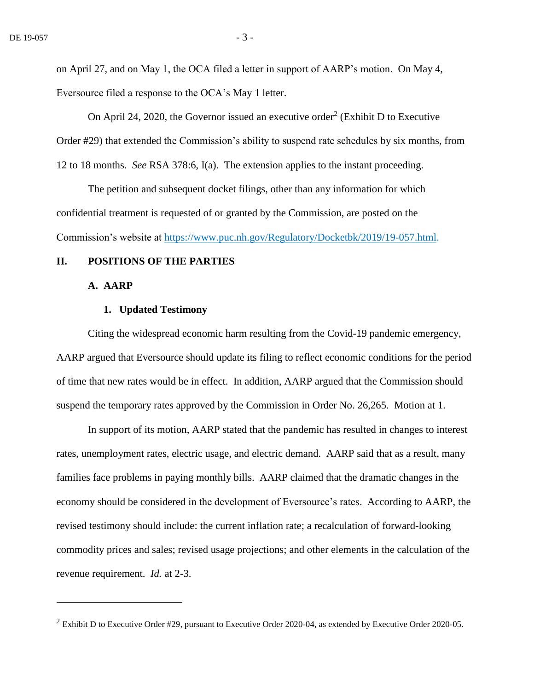on April 27, and on May 1, the OCA filed a letter in support of AARP's motion. On May 4, Eversource filed a response to the OCA's May 1 letter.

On April 24, 2020, the Governor issued an executive order<sup>2</sup> (Exhibit D to Executive Order #29) that extended the Commission's ability to suspend rate schedules by six months, from 12 to 18 months. *See* RSA 378:6, I(a). The extension applies to the instant proceeding.

The petition and subsequent docket filings, other than any information for which confidential treatment is requested of or granted by the Commission, are posted on the Commission's website at [https://www.puc.nh.gov/Regulatory/Docketbk/2019/19-057.html.](https://www.puc.nh.gov/Regulatory/Docketbk/2019/19-057.html)

## **II. POSITIONS OF THE PARTIES**

# **A. AARP**

 $\overline{a}$ 

## **1. Updated Testimony**

Citing the widespread economic harm resulting from the Covid-19 pandemic emergency, AARP argued that Eversource should update its filing to reflect economic conditions for the period of time that new rates would be in effect. In addition, AARP argued that the Commission should suspend the temporary rates approved by the Commission in Order No. 26,265. Motion at 1.

In support of its motion, AARP stated that the pandemic has resulted in changes to interest rates, unemployment rates, electric usage, and electric demand. AARP said that as a result, many families face problems in paying monthly bills. AARP claimed that the dramatic changes in the economy should be considered in the development of Eversource's rates. According to AARP, the revised testimony should include: the current inflation rate; a recalculation of forward-looking commodity prices and sales; revised usage projections; and other elements in the calculation of the revenue requirement. *Id.* at 2-3.

 $2$  Exhibit D to Executive Order #29, pursuant to Executive Order 2020-04, as extended by Executive Order 2020-05.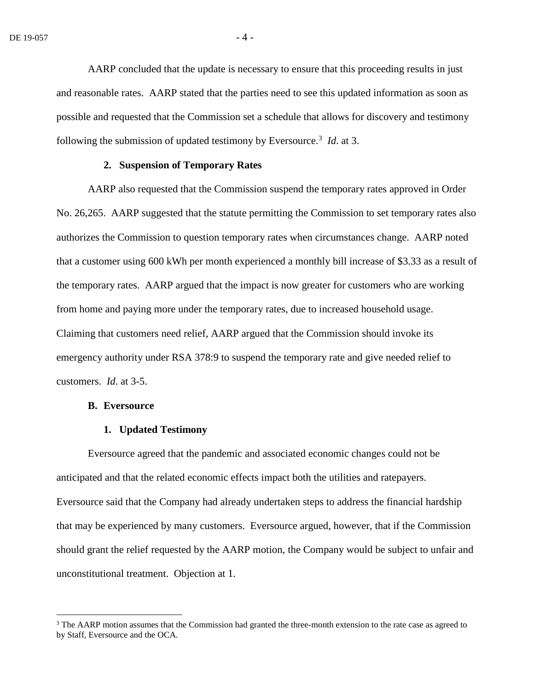AARP concluded that the update is necessary to ensure that this proceeding results in just and reasonable rates. AARP stated that the parties need to see this updated information as soon as possible and requested that the Commission set a schedule that allows for discovery and testimony following the submission of updated testimony by Eversource.<sup>3</sup> *Id.* at 3.

#### **2. Suspension of Temporary Rates**

AARP also requested that the Commission suspend the temporary rates approved in Order No. 26,265. AARP suggested that the statute permitting the Commission to set temporary rates also authorizes the Commission to question temporary rates when circumstances change. AARP noted that a customer using 600 kWh per month experienced a monthly bill increase of \$3.33 as a result of the temporary rates. AARP argued that the impact is now greater for customers who are working from home and paying more under the temporary rates, due to increased household usage. Claiming that customers need relief, AARP argued that the Commission should invoke its emergency authority under RSA 378:9 to suspend the temporary rate and give needed relief to customers. *Id*. at 3-5.

#### **B. Eversource**

 $\overline{a}$ 

#### **1. Updated Testimony**

Eversource agreed that the pandemic and associated economic changes could not be anticipated and that the related economic effects impact both the utilities and ratepayers. Eversource said that the Company had already undertaken steps to address the financial hardship that may be experienced by many customers. Eversource argued, however, that if the Commission should grant the relief requested by the AARP motion, the Company would be subject to unfair and unconstitutional treatment. Objection at 1.

 $3$  The AARP motion assumes that the Commission had granted the three-month extension to the rate case as agreed to by Staff, Eversource and the OCA.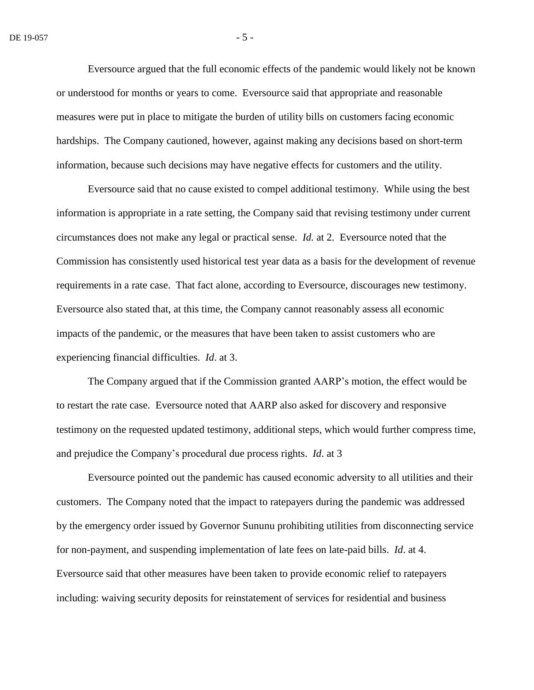Eversource argued that the full economic effects of the pandemic would likely not be known or understood for months or years to come. Eversource said that appropriate and reasonable measures were put in place to mitigate the burden of utility bills on customers facing economic hardships. The Company cautioned, however, against making any decisions based on short-term information, because such decisions may have negative effects for customers and the utility.

Eversource said that no cause existed to compel additional testimony. While using the best information is appropriate in a rate setting, the Company said that revising testimony under current circumstances does not make any legal or practical sense. *Id.* at 2. Eversource noted that the Commission has consistently used historical test year data as a basis for the development of revenue requirements in a rate case. That fact alone, according to Eversource, discourages new testimony. Eversource also stated that, at this time, the Company cannot reasonably assess all economic impacts of the pandemic, or the measures that have been taken to assist customers who are experiencing financial difficulties. *Id*. at 3.

The Company argued that if the Commission granted AARP's motion, the effect would be to restart the rate case. Eversource noted that AARP also asked for discovery and responsive testimony on the requested updated testimony, additional steps, which would further compress time, and prejudice the Company's procedural due process rights. *Id*. at 3

Eversource pointed out the pandemic has caused economic adversity to all utilities and their customers. The Company noted that the impact to ratepayers during the pandemic was addressed by the emergency order issued by Governor Sununu prohibiting utilities from disconnecting service for non-payment, and suspending implementation of late fees on late-paid bills. *Id*. at 4. Eversource said that other measures have been taken to provide economic relief to ratepayers including: waiving security deposits for reinstatement of services for residential and business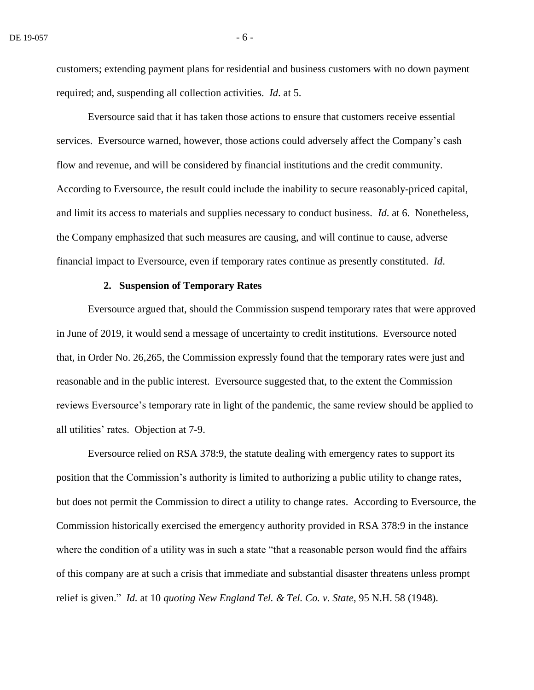customers; extending payment plans for residential and business customers with no down payment required; and, suspending all collection activities. *Id*. at 5.

Eversource said that it has taken those actions to ensure that customers receive essential services. Eversource warned, however, those actions could adversely affect the Company's cash flow and revenue, and will be considered by financial institutions and the credit community. According to Eversource, the result could include the inability to secure reasonably-priced capital, and limit its access to materials and supplies necessary to conduct business. *Id*. at 6. Nonetheless, the Company emphasized that such measures are causing, and will continue to cause, adverse financial impact to Eversource, even if temporary rates continue as presently constituted. *Id*.

### **2. Suspension of Temporary Rates**

Eversource argued that, should the Commission suspend temporary rates that were approved in June of 2019, it would send a message of uncertainty to credit institutions. Eversource noted that, in Order No. 26,265, the Commission expressly found that the temporary rates were just and reasonable and in the public interest. Eversource suggested that, to the extent the Commission reviews Eversource's temporary rate in light of the pandemic, the same review should be applied to all utilities' rates. Objection at 7-9.

Eversource relied on RSA 378:9, the statute dealing with emergency rates to support its position that the Commission's authority is limited to authorizing a public utility to change rates, but does not permit the Commission to direct a utility to change rates. According to Eversource, the Commission historically exercised the emergency authority provided in RSA 378:9 in the instance where the condition of a utility was in such a state "that a reasonable person would find the affairs of this company are at such a crisis that immediate and substantial disaster threatens unless prompt relief is given." *Id.* at 10 *quoting New England Tel. & Tel. Co. v. State*, 95 N.H. 58 (1948).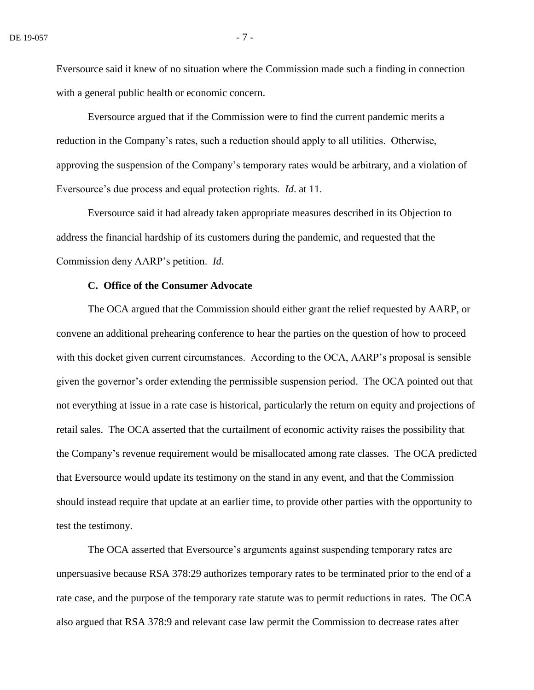Eversource said it knew of no situation where the Commission made such a finding in connection with a general public health or economic concern.

Eversource argued that if the Commission were to find the current pandemic merits a reduction in the Company's rates, such a reduction should apply to all utilities. Otherwise, approving the suspension of the Company's temporary rates would be arbitrary, and a violation of Eversource's due process and equal protection rights. *Id*. at 11.

Eversource said it had already taken appropriate measures described in its Objection to address the financial hardship of its customers during the pandemic, and requested that the Commission deny AARP's petition. *Id*.

## **C. Office of the Consumer Advocate**

The OCA argued that the Commission should either grant the relief requested by AARP, or convene an additional prehearing conference to hear the parties on the question of how to proceed with this docket given current circumstances. According to the OCA, AARP's proposal is sensible given the governor's order extending the permissible suspension period. The OCA pointed out that not everything at issue in a rate case is historical, particularly the return on equity and projections of retail sales. The OCA asserted that the curtailment of economic activity raises the possibility that the Company's revenue requirement would be misallocated among rate classes. The OCA predicted that Eversource would update its testimony on the stand in any event, and that the Commission should instead require that update at an earlier time, to provide other parties with the opportunity to test the testimony.

The OCA asserted that Eversource's arguments against suspending temporary rates are unpersuasive because RSA 378:29 authorizes temporary rates to be terminated prior to the end of a rate case, and the purpose of the temporary rate statute was to permit reductions in rates. The OCA also argued that RSA 378:9 and relevant case law permit the Commission to decrease rates after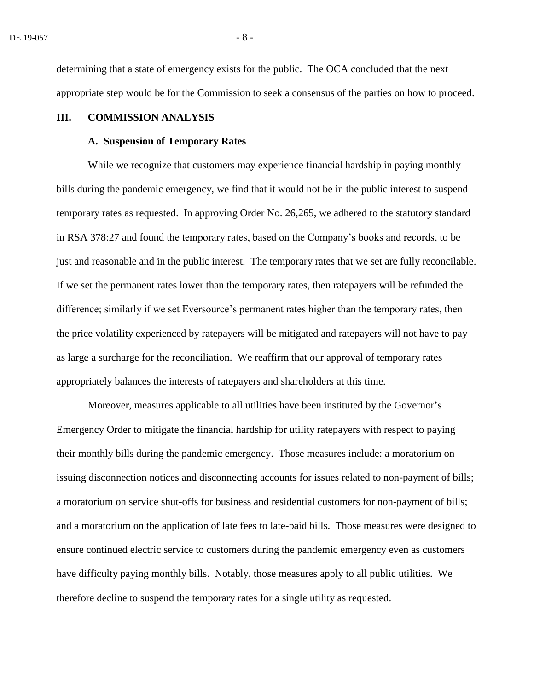determining that a state of emergency exists for the public. The OCA concluded that the next appropriate step would be for the Commission to seek a consensus of the parties on how to proceed.

# **III. COMMISSION ANALYSIS**

#### **A. Suspension of Temporary Rates**

While we recognize that customers may experience financial hardship in paying monthly bills during the pandemic emergency, we find that it would not be in the public interest to suspend temporary rates as requested. In approving Order No. 26,265, we adhered to the statutory standard in RSA 378:27 and found the temporary rates, based on the Company's books and records, to be just and reasonable and in the public interest. The temporary rates that we set are fully reconcilable. If we set the permanent rates lower than the temporary rates, then ratepayers will be refunded the difference; similarly if we set Eversource's permanent rates higher than the temporary rates, then the price volatility experienced by ratepayers will be mitigated and ratepayers will not have to pay as large a surcharge for the reconciliation. We reaffirm that our approval of temporary rates appropriately balances the interests of ratepayers and shareholders at this time.

Moreover, measures applicable to all utilities have been instituted by the Governor's Emergency Order to mitigate the financial hardship for utility ratepayers with respect to paying their monthly bills during the pandemic emergency. Those measures include: a moratorium on issuing disconnection notices and disconnecting accounts for issues related to non-payment of bills; a moratorium on service shut-offs for business and residential customers for non-payment of bills; and a moratorium on the application of late fees to late-paid bills. Those measures were designed to ensure continued electric service to customers during the pandemic emergency even as customers have difficulty paying monthly bills. Notably, those measures apply to all public utilities. We therefore decline to suspend the temporary rates for a single utility as requested.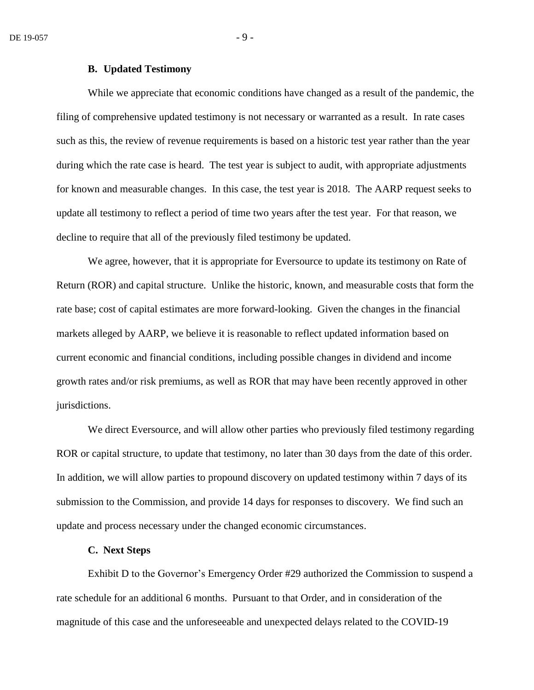### **B. Updated Testimony**

While we appreciate that economic conditions have changed as a result of the pandemic, the filing of comprehensive updated testimony is not necessary or warranted as a result. In rate cases such as this, the review of revenue requirements is based on a historic test year rather than the year during which the rate case is heard. The test year is subject to audit, with appropriate adjustments for known and measurable changes. In this case, the test year is 2018. The AARP request seeks to update all testimony to reflect a period of time two years after the test year. For that reason, we decline to require that all of the previously filed testimony be updated.

We agree, however, that it is appropriate for Eversource to update its testimony on Rate of Return (ROR) and capital structure. Unlike the historic, known, and measurable costs that form the rate base; cost of capital estimates are more forward-looking. Given the changes in the financial markets alleged by AARP, we believe it is reasonable to reflect updated information based on current economic and financial conditions, including possible changes in dividend and income growth rates and/or risk premiums, as well as ROR that may have been recently approved in other jurisdictions.

We direct Eversource, and will allow other parties who previously filed testimony regarding ROR or capital structure, to update that testimony, no later than 30 days from the date of this order. In addition, we will allow parties to propound discovery on updated testimony within 7 days of its submission to the Commission, and provide 14 days for responses to discovery. We find such an update and process necessary under the changed economic circumstances.

#### **C. Next Steps**

Exhibit D to the Governor's Emergency Order #29 authorized the Commission to suspend a rate schedule for an additional 6 months. Pursuant to that Order, and in consideration of the magnitude of this case and the unforeseeable and unexpected delays related to the COVID-19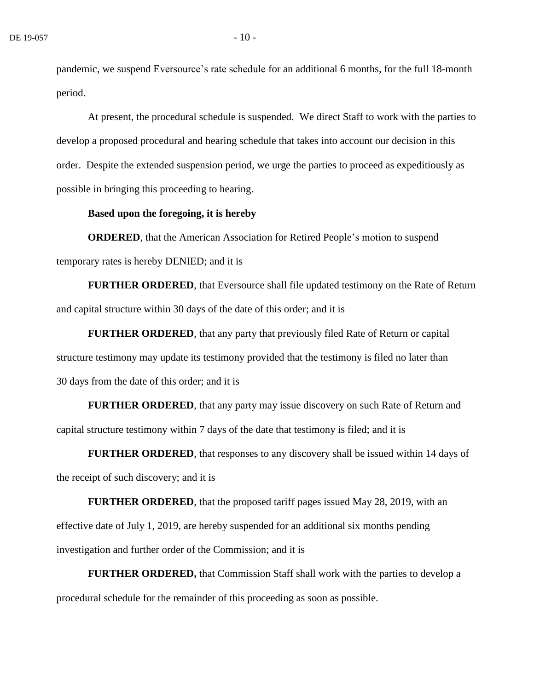pandemic, we suspend Eversource's rate schedule for an additional 6 months, for the full 18-month period.

At present, the procedural schedule is suspended. We direct Staff to work with the parties to develop a proposed procedural and hearing schedule that takes into account our decision in this order. Despite the extended suspension period, we urge the parties to proceed as expeditiously as possible in bringing this proceeding to hearing.

### **Based upon the foregoing, it is hereby**

**ORDERED**, that the American Association for Retired People's motion to suspend temporary rates is hereby DENIED; and it is

**FURTHER ORDERED**, that Eversource shall file updated testimony on the Rate of Return and capital structure within 30 days of the date of this order; and it is

**FURTHER ORDERED**, that any party that previously filed Rate of Return or capital structure testimony may update its testimony provided that the testimony is filed no later than 30 days from the date of this order; and it is

**FURTHER ORDERED**, that any party may issue discovery on such Rate of Return and capital structure testimony within 7 days of the date that testimony is filed; and it is

**FURTHER ORDERED**, that responses to any discovery shall be issued within 14 days of the receipt of such discovery; and it is

**FURTHER ORDERED**, that the proposed tariff pages issued May 28, 2019, with an effective date of July 1, 2019, are hereby suspended for an additional six months pending investigation and further order of the Commission; and it is

**FURTHER ORDERED,** that Commission Staff shall work with the parties to develop a procedural schedule for the remainder of this proceeding as soon as possible.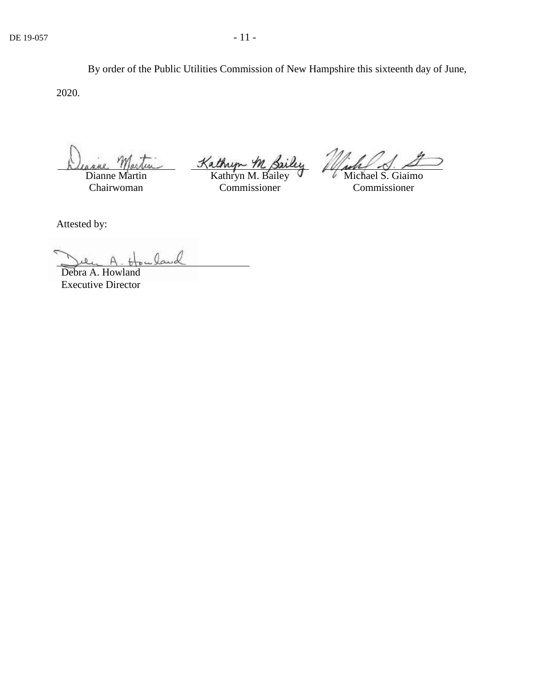By order of the Public Utilities Commission of New Hampshire this sixteenth day of June, 2020.

Dianne Martin Chairwoman

Kathryn M. Sailey

Commissioner

Michael S. Giaimo Commissioner

Attested by:

Debra A. Howland Executive Director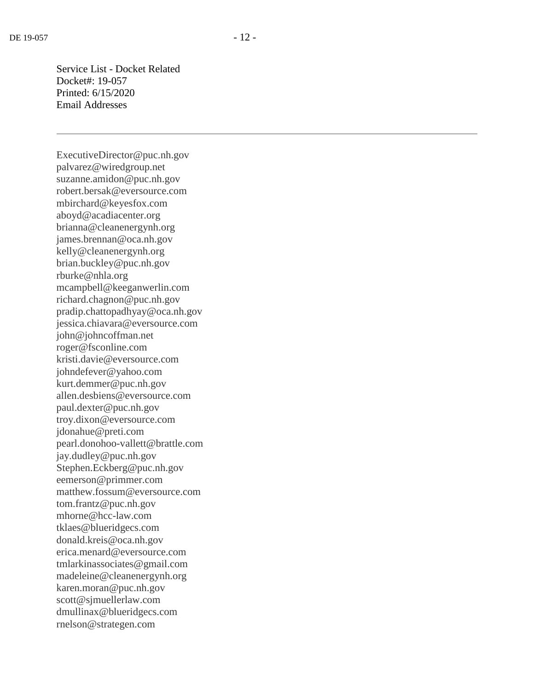Service List - Docket Related Docket#: 19-057 Printed: 6/15/2020 Email Addresses

ExecutiveDirector@puc.nh.gov palvarez@wiredgroup.net suzanne.amidon@puc.nh.gov robert.bersak@eversource.com mbirchard@keyesfox.com aboyd@acadiacenter.org brianna@cleanenergynh.org james.brennan@oca.nh.gov kelly@cleanenergynh.org brian.buckley@puc.nh.gov rburke@nhla.org mcampbell@keeganwerlin.com richard.chagnon@puc.nh.gov pradip.chattopadhyay@oca.nh.gov jessica.chiavara@eversource.com john@johncoffman.net roger@fsconline.com kristi.davie@eversource.com johndefever@yahoo.com kurt.demmer@puc.nh.gov allen.desbiens@eversource.com paul.dexter@puc.nh.gov troy.dixon@eversource.com jdonahue@preti.com pearl.donohoo-vallett@brattle.com jay.dudley@puc.nh.gov Stephen.Eckberg@puc.nh.gov eemerson@primmer.com matthew.fossum@eversource.com tom.frantz@puc.nh.gov mhorne@hcc-law.com tklaes@blueridgecs.com donald.kreis@oca.nh.gov erica.menard@eversource.com tmlarkinassociates@gmail.com madeleine@cleanenergynh.org karen.moran@puc.nh.gov scott@sjmuellerlaw.com dmullinax@blueridgecs.com rnelson@strategen.com